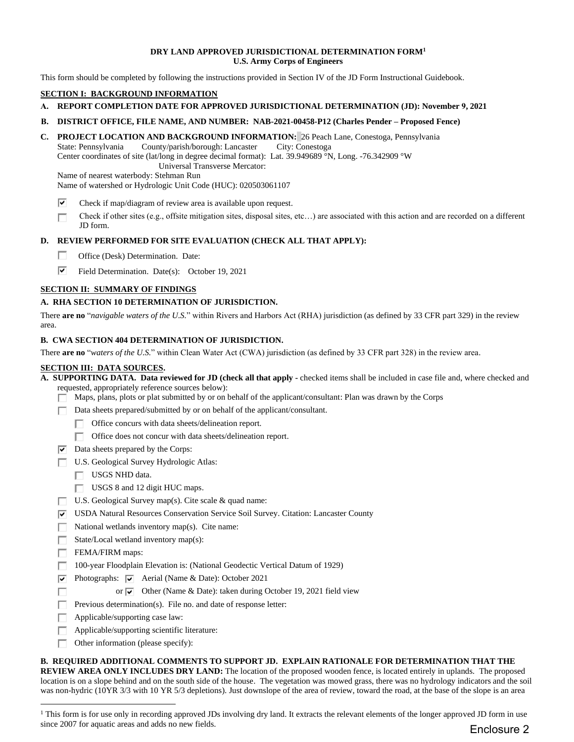# **DRY LAND APPROVED JURISDICTIONAL DETERMINATION FORM<sup>1</sup> U.S. Army Corps of Engineers**

This form should be completed by following the instructions provided in Section IV of the JD Form Instructional Guidebook.

# **SECTION I: BACKGROUND INFORMATION**

**A. REPORT COMPLETION DATE FOR APPROVED JURISDICTIONAL DETERMINATION (JD): November 9, 2021**

# **B. DISTRICT OFFICE, FILE NAME, AND NUMBER: NAB-2021-00458-P12 (Charles Pender – Proposed Fence)**

**C. PROJECT LOCATION AND BACKGROUND INFORMATION:** 26 Peach Lane, Conestoga, Pennsylvania State: Pennsylvania County/parish/borough: Lancaster City: Conestoga Center coordinates of site (lat/long in degree decimal format): Lat. 39.949689 °N, Long. -76.342909 °W Universal Transverse Mercator: Name of nearest waterbody: Stehman Run

Name of watershed or Hydrologic Unit Code (HUC): 020503061107

- ⊽ Check if map/diagram of review area is available upon request.
- Check if other sites (e.g., offsite mitigation sites, disposal sites, etc…) are associated with this action and are recorded on a different П JD form.

# **D. REVIEW PERFORMED FOR SITE EVALUATION (CHECK ALL THAT APPLY):**

- П. Office (Desk) Determination. Date:
- ⊽ Field Determination. Date(s): October 19, 2021

# **SECTION II: SUMMARY OF FINDINGS**

# **A. RHA SECTION 10 DETERMINATION OF JURISDICTION.**

There **are no** "*navigable waters of the U.S.*" within Rivers and Harbors Act (RHA) jurisdiction (as defined by 33 CFR part 329) in the review area.

# **B. CWA SECTION 404 DETERMINATION OF JURISDICTION.**

There **are no** "*waters of the U.S.*" within Clean Water Act (CWA) jurisdiction (as defined by 33 CFR part 328) in the review area.

# **SECTION III: DATA SOURCES.**

**A. SUPPORTING DATA. Data reviewed for JD (check all that apply -** checked items shall be included in case file and, where checked and requested, appropriately reference sources below):

- Maps, plans, plots or plat submitted by or on behalf of the applicant/consultant: Plan was drawn by the Corps
- Data sheets prepared/submitted by or on behalf of the applicant/consultant.
	- Office concurs with data sheets/delineation report.
	- Office does not concur with data sheets/delineation report.
- $\boxed{\color{red}\blacktriangledown}$  Data sheets prepared by the Corps:
- U.S. Geological Survey Hydrologic Atlas:
	- USGS NHD data.
	- $\Box$  USGS 8 and 12 digit HUC maps.
- $\Box$  U.S. Geological Survey map(s). Cite scale & quad name:
- USDA Natural Resources Conservation Service Soil Survey. Citation: Lancaster County
- $\Box$  National wetlands inventory map(s). Cite name:
- State/Local wetland inventory map(s):
- $\Box$  FEMA/FIRM maps:

г

- П. 100-year Floodplain Elevation is: (National Geodectic Vertical Datum of 1929)
- ⊽⊣ Photographs:  $\overline{\triangledown}$  Aerial (Name & Date): October 2021
	- or  $\overline{\triangledown}$  Other (Name & Date): taken during October 19, 2021 field view
- Previous determination(s). File no. and date of response letter: п
- Applicable/supporting case law: Г
- Applicable/supporting scientific literature:
- П. Other information (please specify):

**B. REQUIRED ADDITIONAL COMMENTS TO SUPPORT JD. EXPLAIN RATIONALE FOR DETERMINATION THAT THE**

**REVIEW AREA ONLY INCLUDES DRY LAND:** The location of the proposed wooden fence, is located entirely in uplands. The proposed location is on a slope behind and on the south side of the house. The vegetation was mowed grass, there was no hydrology indicators and the soil was non-hydric (10YR 3/3 with 10 YR 5/3 depletions). Just downslope of the area of review, toward the road, at the base of the slope is an area

<sup>&</sup>lt;sup>1</sup> This form is for use only in recording approved JDs involving dry land. It extracts the relevant elements of the longer approved JD form in use since 2007 for aquatic areas and adds no new fields. Enclosure 2